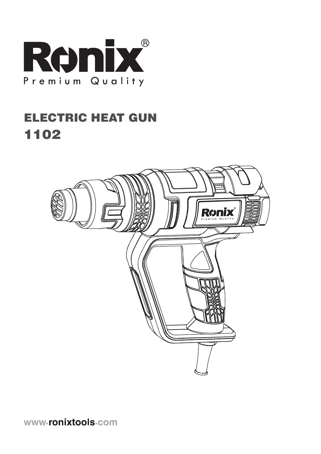

### ELECTRIC HEAT GUN 1102



www-ronixtools-com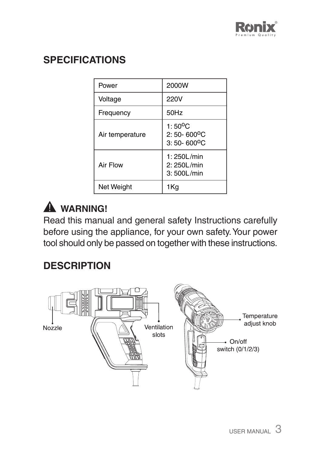

### **SPECIFICATIONS**

| Power           | 2000W                                                                          |
|-----------------|--------------------------------------------------------------------------------|
| Voltage         | 220V                                                                           |
| Frequency       | 50Hz                                                                           |
| Air temperature | $1:50^{\circ}$ C<br>$2:50 - 600$ <sup>o</sup> C<br>$3:50 - 600$ <sup>o</sup> C |
| Air Flow        | 1:250L/min<br>2: 250L/min<br>3: 500L/min                                       |
| Net Weight      | 1Ka                                                                            |

### **WARNING!**

Read this manual and general safety Instructions carefully before using the appliance, for your own safety. Your power tool should only be passed on together with these instructions.

### **DESCRIPTION**

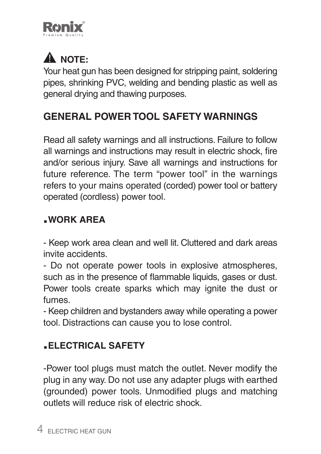

# **A** NOTE:

Your heat gun has been designed for stripping paint, soldering pipes, shrinking PVC, welding and bending plastic as well as general drying and thawing purposes.

### **GENERAL POWER TOOL SAFETY WARNINGS**

Read all safety warnings and all instructions. Failure to follow all warnings and instructions may result in electric shock, fire and/or serious injury. Save all warnings and instructions for future reference. The term "power tool" in the warnings refers to your mains operated (corded) power tool or battery operated (cordless) power tool.

### **.WORK AREA**

- Keep work area clean and well lit. Cluttered and dark areas invite accidents.

- Do not operate power tools in explosive atmospheres, such as in the presence of flammable liquids, gases or dust. Power tools create sparks which may ignite the dust or fumes.

- Keep children and bystanders away while operating a power tool. Distractions can cause you to lose control.

### **.ELECTRICAL SAFETY**

-Power tool plugs must match the outlet. Never modify the plug in any way. Do not use any adapter plugs with earthed (grounded) power tools. Unmodified plugs and matching outlets will reduce risk of electric shock.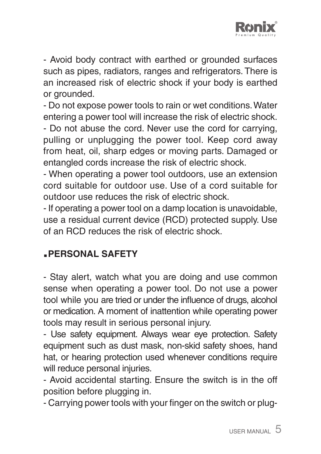

- Avoid body contract with earthed or grounded surfaces such as pipes, radiators, ranges and refrigerators. There is an increased risk of electric shock if your body is earthed or grounded.

- Do not expose power tools to rain or wet conditions. Water entering a power tool will increase the risk of electric shock.

- Do not abuse the cord. Never use the cord for carrying, pulling or unplugging the power tool. Keep cord away from heat, oil, sharp edges or moving parts. Damaged or entangled cords increase the risk of electric shock.

- When operating a power tool outdoors, use an extension cord suitable for outdoor use. Use of a cord suitable for outdoor use reduces the risk of electric shock.

- If operating a power tool on a damp location is unavoidable, use a residual current device (RCD) protected supply. Use of an RCD reduces the risk of electric shock.

#### **.PERSONAL SAFETY**

- Stay alert, watch what you are doing and use common sense when operating a power tool. Do not use a power tool while you are tried or under the influence of drugs, alcohol or medication. A moment of inattention while operating power tools may result in serious personal injury.

- Use safety equipment. Always wear eye protection. Safety equipment such as dust mask, non-skid safety shoes, hand hat, or hearing protection used whenever conditions require will reduce personal injuries.

- Avoid accidental starting. Ensure the switch is in the off position before plugging in.

- Carrying power tools with your finger on the switch or plug-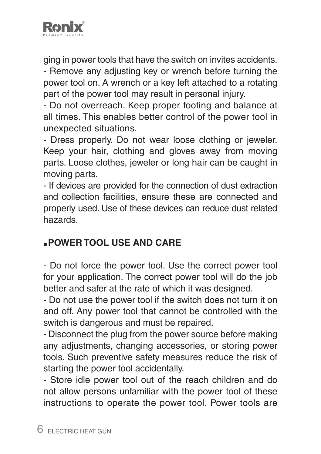

ging in power tools that have the switch on invites accidents.

- Remove any adjusting key or wrench before turning the power tool on. A wrench or a key left attached to a rotating part of the power tool may result in personal injury.

- Do not overreach. Keep proper footing and balance at all times. This enables better control of the power tool in unexpected situations.

- Dress properly. Do not wear loose clothing or jeweler. Keep your hair, clothing and gloves away from moving parts. Loose clothes, jeweler or long hair can be caught in moving parts.

- If devices are provided for the connection of dust extraction and collection facilities, ensure these are connected and properly used. Use of these devices can reduce dust related hazards.

#### **.POWER TOOL USE AND CARE**

- Do not force the power tool. Use the correct power tool for your application. The correct power tool will do the job better and safer at the rate of which it was designed.

- Do not use the power tool if the switch does not turn it on and off. Any power tool that cannot be controlled with the switch is dangerous and must be repaired.

- Disconnect the plug from the power source before making any adjustments, changing accessories, or storing power tools. Such preventive safety measures reduce the risk of starting the power tool accidentally.

- Store idle power tool out of the reach children and do not allow persons unfamiliar with the power tool of these instructions to operate the power tool. Power tools are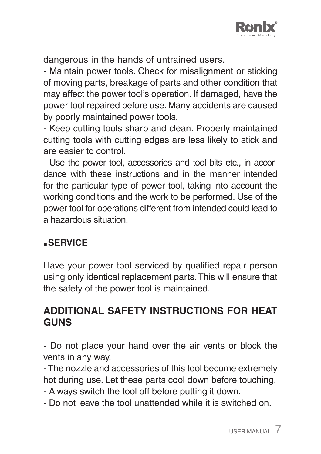

dangerous in the hands of untrained users.

- Maintain power tools. Check for misalignment or sticking of moving parts, breakage of parts and other condition that may affect the power tool's operation. If damaged, have the power tool repaired before use. Many accidents are caused by poorly maintained power tools.

- Keep cutting tools sharp and clean. Properly maintained cutting tools with cutting edges are less likely to stick and are easier to control.

- Use the power tool, accessories and tool bits etc., in accordance with these instructions and in the manner intended for the particular type of power tool, taking into account the working conditions and the work to be performed. Use of the power tool for operations different from intended could lead to a hazardous situation.

### **.SERVICE**

Have your power tool serviced by qualified repair person using only identical replacement parts. This will ensure that the safety of the power tool is maintained.

### **ADDITIONAL SAFETY INSTRUCTIONS FOR HEAT GUNS**

- Do not place your hand over the air vents or block the vents in any way.

- The nozzle and accessories of this tool become extremely hot during use. Let these parts cool down before touching.

- Always switch the tool off before putting it down.
- Do not leave the tool unattended while it is switched on.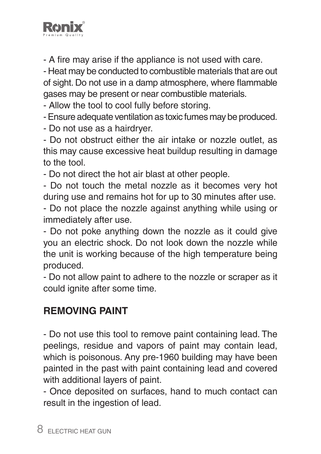

- A fire may arise if the appliance is not used with care.

- Heat may be conducted to combustible materials that are out of sight. Do not use in a damp atmosphere, where flammable gases may be present or near combustible materials.

- Allow the tool to cool fully before storing.

- Ensure adequate ventilation as toxic fumes may be produced.

- Do not use as a hairdryer.

- Do not obstruct either the air intake or nozzle outlet, as this may cause excessive heat buildup resulting in damage to the tool.

- Do not direct the hot air blast at other people.

- Do not touch the metal nozzle as it becomes very hot during use and remains hot for up to 30 minutes after use.

- Do not place the nozzle against anything while using or immediately after use.

- Do not poke anything down the nozzle as it could give you an electric shock. Do not look down the nozzle while the unit is working because of the high temperature being produced.

- Do not allow paint to adhere to the nozzle or scraper as it could ignite after some time.

### **REMOVING PAINT**

- Do not use this tool to remove paint containing lead. The peelings, residue and vapors of paint may contain lead, which is poisonous. Any pre-1960 building may have been painted in the past with paint containing lead and covered with additional layers of paint.

- Once deposited on surfaces, hand to much contact can result in the ingestion of lead.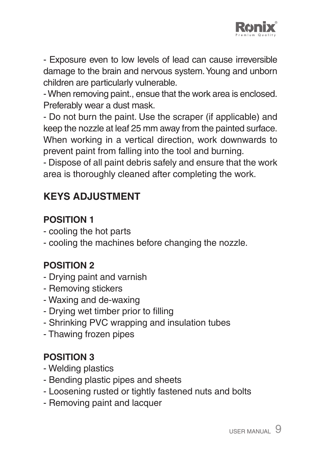

- Exposure even to low levels of lead can cause irreversible damage to the brain and nervous system. Young and unborn children are particularly vulnerable.

- When removing paint., ensue that the work area is enclosed. Preferably wear a dust mask.

- Do not burn the paint. Use the scraper (if applicable) and keep the nozzle at leaf 25 mm away from the painted surface. When working in a vertical direction, work downwards to prevent paint from falling into the tool and burning.

- Dispose of all paint debris safely and ensure that the work area is thoroughly cleaned after completing the work.

### **KEYS ADJUSTMENT**

### **POSITION 1**

- cooling the hot parts
- cooling the machines before changing the nozzle.

### **POSITION 2**

- Drying paint and varnish
- Removing stickers
- Waxing and de-waxing
- Drying wet timber prior to filling
- Shrinking PVC wrapping and insulation tubes
- Thawing frozen pipes

### **POSITION 3**

- Welding plastics
- Bending plastic pipes and sheets
- Loosening rusted or tightly fastened nuts and bolts
- Removing paint and lacquer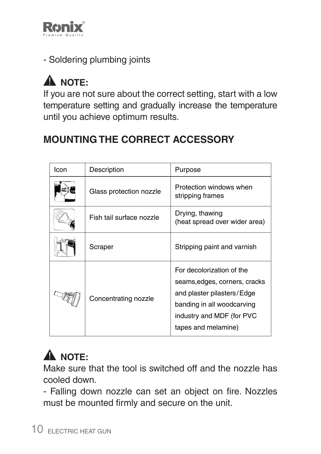

- Soldering plumbing joints

## **A** NOTE:

If you are not sure about the correct setting, start with a low temperature setting and gradually increase the temperature until you achieve optimum results.

### **MOUNTING THE CORRECT ACCESSORY**

| Icon | Description              | Purpose                                                                                                                                                                    |
|------|--------------------------|----------------------------------------------------------------------------------------------------------------------------------------------------------------------------|
|      | Glass protection nozzle  | Protection windows when<br>stripping frames                                                                                                                                |
|      | Fish tail surface nozzle | Drying, thawing<br>(heat spread over wider area)                                                                                                                           |
|      | Scraper                  | Stripping paint and varnish                                                                                                                                                |
|      | Concentrating nozzle     | For decolorization of the<br>seams, edges, corners, cracks<br>and plaster pilasters/Edge<br>banding in all woodcarving<br>industry and MDF (for PVC<br>tapes and melamine) |

## **A** NOTE:

Make sure that the tool is switched off and the nozzle has cooled down.

- Falling down nozzle can set an object on fire. Nozzles must be mounted firmly and secure on the unit.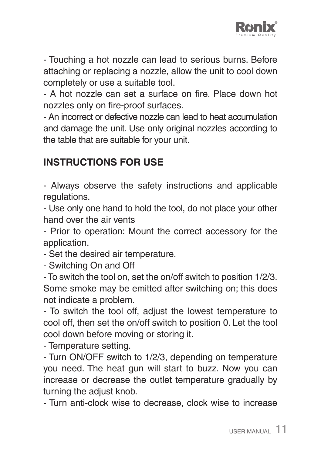

- Touching a hot nozzle can lead to serious burns. Before attaching or replacing a nozzle, allow the unit to cool down completely or use a suitable tool.

- A hot nozzle can set a surface on fire. Place down hot nozzles only on fire-proof surfaces.

- An incorrect or defective nozzle can lead to heat accumulation and damage the unit. Use only original nozzles according to the table that are suitable for your unit.

### **INSTRUCTIONS FOR USE**

- Always observe the safety instructions and applicable regulations.

- Use only one hand to hold the tool, do not place your other hand over the air vents

- Prior to operation: Mount the correct accessory for the application.

- Set the desired air temperature.

- Switching On and Off

- To switch the tool on, set the on/off switch to position 1/2/3. Some smoke may be emitted after switching on; this does not indicate a problem.

- To switch the tool off, adjust the lowest temperature to cool off, then set the on/off switch to position 0. Let the tool cool down before moving or storing it.

- Temperature setting.

- Turn ON/OFF switch to 1/2/3, depending on temperature you need. The heat gun will start to buzz. Now you can increase or decrease the outlet temperature gradually by turning the adjust knob.

- Turn anti-clock wise to decrease, clock wise to increase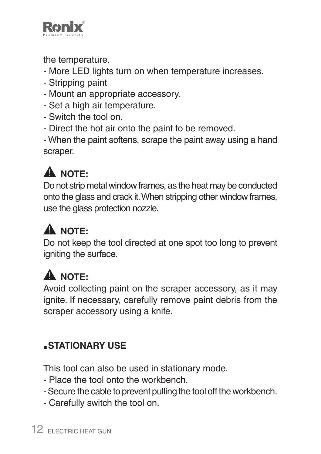

the temperature.

- More LED lights turn on when temperature increases.

- Stripping paint
- Mount an appropriate accessory.
- Set a high air temperature.
- Switch the tool on.
- Direct the hot air onto the paint to be removed.

- When the paint softens, scrape the paint away using a hand scraper.

# **A** NOTE:

Do not strip metal window frames, as the heat may be conducted onto the glass and crack it. When stripping other window frames, use the glass protection nozzle.

# **A** NOTE:

Do not keep the tool directed at one spot too long to prevent igniting the surface.

## **A** NOTE:

Avoid collecting paint on the scraper accessory, as it may ignite. If necessary, carefully remove paint debris from the scraper accessory using a knife.

### **.STATIONARY USE**

This tool can also be used in stationary mode.

- Place the tool onto the workbench.
- Secure the cable to prevent pulling the tool off the workbench.
- Carefully switch the tool on.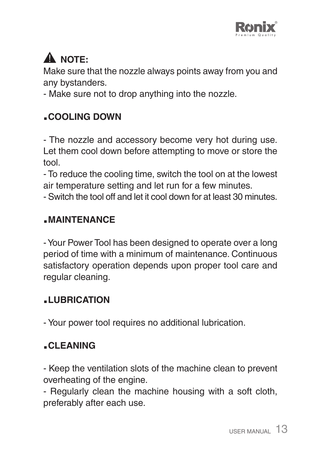

# **A** NOTE:

Make sure that the nozzle always points away from you and any bystanders.

- Make sure not to drop anything into the nozzle.

### **.COOLING DOWN**

- The nozzle and accessory become very hot during use. Let them cool down before attempting to move or store the tool.

- To reduce the cooling time, switch the tool on at the lowest air temperature setting and let run for a few minutes.

- Switch the tool off and let it cool down for at least 30 minutes.

#### **.MAINTENANCE**

- Your Power Tool has been designed to operate over a long period of time with a minimum of maintenance. Continuous satisfactory operation depends upon proper tool care and regular cleaning.

### **.LUBRICATION**

- Your power tool requires no additional lubrication.

### **.CLEANING**

- Keep the ventilation slots of the machine clean to prevent overheating of the engine.

- Regularly clean the machine housing with a soft cloth, preferably after each use.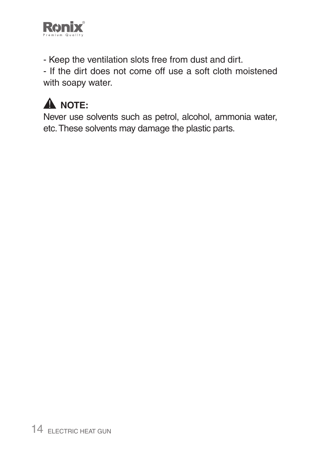

- Keep the ventilation slots free from dust and dirt.

- If the dirt does not come off use a soft cloth moistened with soapy water.

### **NOTE:**

Never use solvents such as petrol, alcohol, ammonia water, etc. These solvents may damage the plastic parts.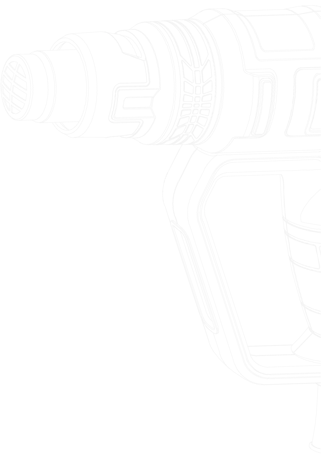